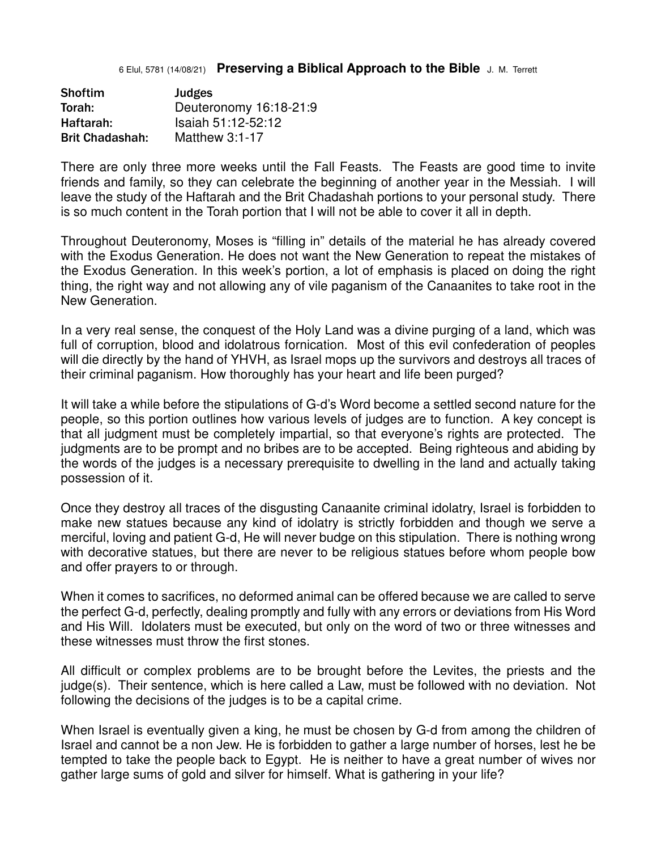## 6 Elul, 5781 (14/08/21) **Preserving a Biblical Approach to the Bible** J. M. Terrett

| <b>Shoftim</b>         | Judges                 |
|------------------------|------------------------|
| Torah:                 | Deuteronomy 16:18-21:9 |
| Haftarah:              | Isaiah 51:12-52:12     |
| <b>Brit Chadashah:</b> | Matthew $3:1-17$       |

There are only three more weeks until the Fall Feasts. The Feasts are good time to invite friends and family, so they can celebrate the beginning of another year in the Messiah. I will leave the study of the Haftarah and the Brit Chadashah portions to your personal study. There is so much content in the Torah portion that I will not be able to cover it all in depth.

Throughout Deuteronomy, Moses is "filling in" details of the material he has already covered with the Exodus Generation. He does not want the New Generation to repeat the mistakes of the Exodus Generation. In this week's portion, a lot of emphasis is placed on doing the right thing, the right way and not allowing any of vile paganism of the Canaanites to take root in the New Generation.

In a very real sense, the conquest of the Holy Land was a divine purging of a land, which was full of corruption, blood and idolatrous fornication. Most of this evil confederation of peoples will die directly by the hand of YHVH, as Israel mops up the survivors and destroys all traces of their criminal paganism. How thoroughly has your heart and life been purged?

It will take a while before the stipulations of G-d's Word become a settled second nature for the people, so this portion outlines how various levels of judges are to function. A key concept is that all judgment must be completely impartial, so that everyone's rights are protected. The judgments are to be prompt and no bribes are to be accepted. Being righteous and abiding by the words of the judges is a necessary prerequisite to dwelling in the land and actually taking possession of it.

Once they destroy all traces of the disgusting Canaanite criminal idolatry, Israel is forbidden to make new statues because any kind of idolatry is strictly forbidden and though we serve a merciful, loving and patient G-d, He will never budge on this stipulation. There is nothing wrong with decorative statues, but there are never to be religious statues before whom people bow and offer prayers to or through.

When it comes to sacrifices, no deformed animal can be offered because we are called to serve the perfect G-d, perfectly, dealing promptly and fully with any errors or deviations from His Word and His Will. Idolaters must be executed, but only on the word of two or three witnesses and these witnesses must throw the first stones.

All difficult or complex problems are to be brought before the Levites, the priests and the judge(s). Their sentence, which is here called a Law, must be followed with no deviation. Not following the decisions of the judges is to be a capital crime.

When Israel is eventually given a king, he must be chosen by G-d from among the children of Israel and cannot be a non Jew. He is forbidden to gather a large number of horses, lest he be tempted to take the people back to Egypt. He is neither to have a great number of wives nor gather large sums of gold and silver for himself. What is gathering in your life?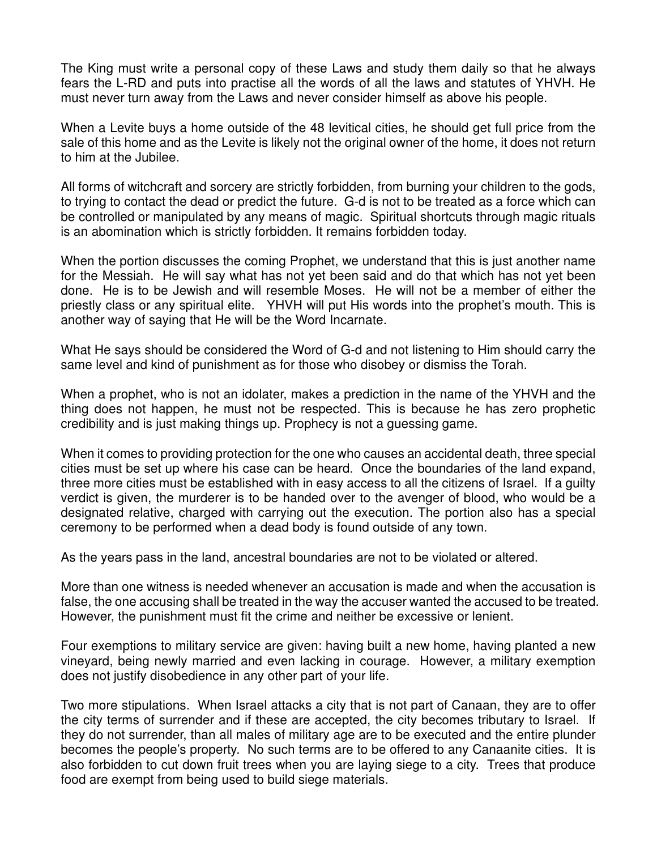The King must write a personal copy of these Laws and study them daily so that he always fears the L-RD and puts into practise all the words of all the laws and statutes of YHVH. He must never turn away from the Laws and never consider himself as above his people.

When a Levite buys a home outside of the 48 levitical cities, he should get full price from the sale of this home and as the Levite is likely not the original owner of the home, it does not return to him at the Jubilee.

All forms of witchcraft and sorcery are strictly forbidden, from burning your children to the gods, to trying to contact the dead or predict the future. G-d is not to be treated as a force which can be controlled or manipulated by any means of magic. Spiritual shortcuts through magic rituals is an abomination which is strictly forbidden. It remains forbidden today.

When the portion discusses the coming Prophet, we understand that this is just another name for the Messiah. He will say what has not yet been said and do that which has not yet been done. He is to be Jewish and will resemble Moses. He will not be a member of either the priestly class or any spiritual elite. YHVH will put His words into the prophet's mouth. This is another way of saying that He will be the Word Incarnate.

What He says should be considered the Word of G-d and not listening to Him should carry the same level and kind of punishment as for those who disobey or dismiss the Torah.

When a prophet, who is not an idolater, makes a prediction in the name of the YHVH and the thing does not happen, he must not be respected. This is because he has zero prophetic credibility and is just making things up. Prophecy is not a guessing game.

When it comes to providing protection for the one who causes an accidental death, three special cities must be set up where his case can be heard. Once the boundaries of the land expand, three more cities must be established with in easy access to all the citizens of Israel. If a guilty verdict is given, the murderer is to be handed over to the avenger of blood, who would be a designated relative, charged with carrying out the execution. The portion also has a special ceremony to be performed when a dead body is found outside of any town.

As the years pass in the land, ancestral boundaries are not to be violated or altered.

More than one witness is needed whenever an accusation is made and when the accusation is false, the one accusing shall be treated in the way the accuser wanted the accused to be treated. However, the punishment must fit the crime and neither be excessive or lenient.

Four exemptions to military service are given: having built a new home, having planted a new vineyard, being newly married and even lacking in courage. However, a military exemption does not justify disobedience in any other part of your life.

Two more stipulations. When Israel attacks a city that is not part of Canaan, they are to offer the city terms of surrender and if these are accepted, the city becomes tributary to Israel. If they do not surrender, than all males of military age are to be executed and the entire plunder becomes the people's property. No such terms are to be offered to any Canaanite cities. It is also forbidden to cut down fruit trees when you are laying siege to a city. Trees that produce food are exempt from being used to build siege materials.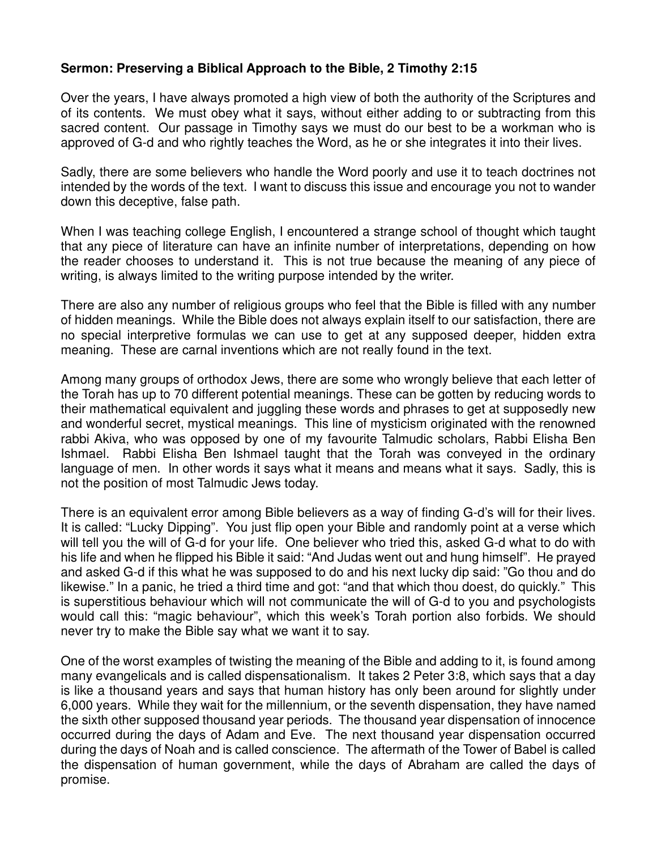## **Sermon: Preserving a Biblical Approach to the Bible, 2 Timothy 2:15**

Over the years, I have always promoted a high view of both the authority of the Scriptures and of its contents. We must obey what it says, without either adding to or subtracting from this sacred content. Our passage in Timothy says we must do our best to be a workman who is approved of G-d and who rightly teaches the Word, as he or she integrates it into their lives.

Sadly, there are some believers who handle the Word poorly and use it to teach doctrines not intended by the words of the text. I want to discuss this issue and encourage you not to wander down this deceptive, false path.

When I was teaching college English, I encountered a strange school of thought which taught that any piece of literature can have an infinite number of interpretations, depending on how the reader chooses to understand it. This is not true because the meaning of any piece of writing, is always limited to the writing purpose intended by the writer.

There are also any number of religious groups who feel that the Bible is filled with any number of hidden meanings. While the Bible does not always explain itself to our satisfaction, there are no special interpretive formulas we can use to get at any supposed deeper, hidden extra meaning. These are carnal inventions which are not really found in the text.

Among many groups of orthodox Jews, there are some who wrongly believe that each letter of the Torah has up to 70 different potential meanings. These can be gotten by reducing words to their mathematical equivalent and juggling these words and phrases to get at supposedly new and wonderful secret, mystical meanings. This line of mysticism originated with the renowned rabbi Akiva, who was opposed by one of my favourite Talmudic scholars, Rabbi Elisha Ben Ishmael. Rabbi Elisha Ben Ishmael taught that the Torah was conveyed in the ordinary language of men. In other words it says what it means and means what it says. Sadly, this is not the position of most Talmudic Jews today.

There is an equivalent error among Bible believers as a way of finding G-d's will for their lives. It is called: "Lucky Dipping". You just flip open your Bible and randomly point at a verse which will tell you the will of G-d for your life. One believer who tried this, asked G-d what to do with his life and when he flipped his Bible it said: "And Judas went out and hung himself". He prayed and asked G-d if this what he was supposed to do and his next lucky dip said: "Go thou and do likewise." In a panic, he tried a third time and got: "and that which thou doest, do quickly." This is superstitious behaviour which will not communicate the will of G-d to you and psychologists would call this: "magic behaviour", which this week's Torah portion also forbids. We should never try to make the Bible say what we want it to say.

One of the worst examples of twisting the meaning of the Bible and adding to it, is found among many evangelicals and is called dispensationalism. It takes 2 Peter 3:8, which says that a day is like a thousand years and says that human history has only been around for slightly under 6,000 years. While they wait for the millennium, or the seventh dispensation, they have named the sixth other supposed thousand year periods. The thousand year dispensation of innocence occurred during the days of Adam and Eve. The next thousand year dispensation occurred during the days of Noah and is called conscience. The aftermath of the Tower of Babel is called the dispensation of human government, while the days of Abraham are called the days of promise.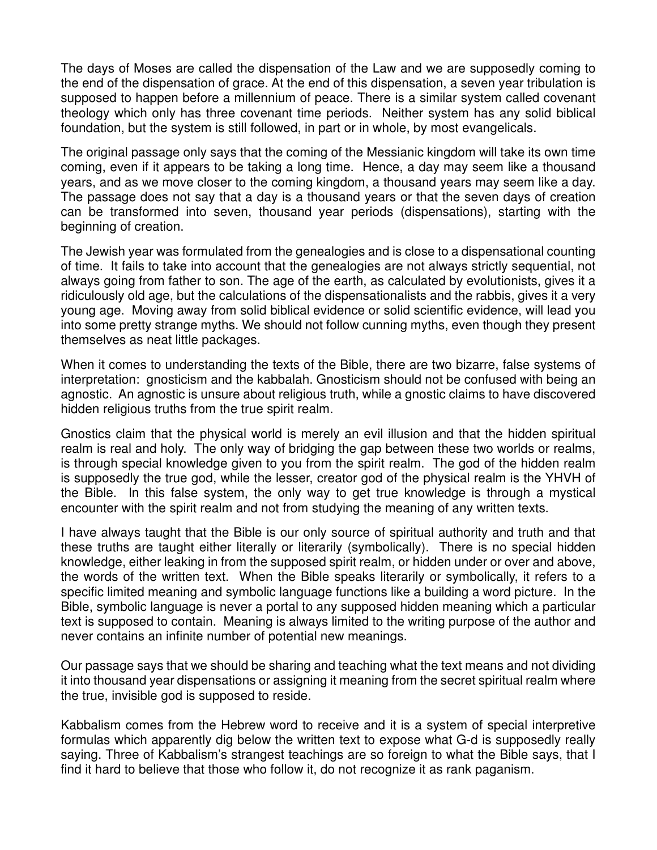The days of Moses are called the dispensation of the Law and we are supposedly coming to the end of the dispensation of grace. At the end of this dispensation, a seven year tribulation is supposed to happen before a millennium of peace. There is a similar system called covenant theology which only has three covenant time periods. Neither system has any solid biblical foundation, but the system is still followed, in part or in whole, by most evangelicals.

The original passage only says that the coming of the Messianic kingdom will take its own time coming, even if it appears to be taking a long time. Hence, a day may seem like a thousand years, and as we move closer to the coming kingdom, a thousand years may seem like a day. The passage does not say that a day is a thousand years or that the seven days of creation can be transformed into seven, thousand year periods (dispensations), starting with the beginning of creation.

The Jewish year was formulated from the genealogies and is close to a dispensational counting of time. It fails to take into account that the genealogies are not always strictly sequential, not always going from father to son. The age of the earth, as calculated by evolutionists, gives it a ridiculously old age, but the calculations of the dispensationalists and the rabbis, gives it a very young age. Moving away from solid biblical evidence or solid scientific evidence, will lead you into some pretty strange myths. We should not follow cunning myths, even though they present themselves as neat little packages.

When it comes to understanding the texts of the Bible, there are two bizarre, false systems of interpretation: gnosticism and the kabbalah. Gnosticism should not be confused with being an agnostic. An agnostic is unsure about religious truth, while a gnostic claims to have discovered hidden religious truths from the true spirit realm.

Gnostics claim that the physical world is merely an evil illusion and that the hidden spiritual realm is real and holy. The only way of bridging the gap between these two worlds or realms, is through special knowledge given to you from the spirit realm. The god of the hidden realm is supposedly the true god, while the lesser, creator god of the physical realm is the YHVH of the Bible. In this false system, the only way to get true knowledge is through a mystical encounter with the spirit realm and not from studying the meaning of any written texts.

I have always taught that the Bible is our only source of spiritual authority and truth and that these truths are taught either literally or literarily (symbolically). There is no special hidden knowledge, either leaking in from the supposed spirit realm, or hidden under or over and above, the words of the written text. When the Bible speaks literarily or symbolically, it refers to a specific limited meaning and symbolic language functions like a building a word picture. In the Bible, symbolic language is never a portal to any supposed hidden meaning which a particular text is supposed to contain. Meaning is always limited to the writing purpose of the author and never contains an infinite number of potential new meanings.

Our passage says that we should be sharing and teaching what the text means and not dividing it into thousand year dispensations or assigning it meaning from the secret spiritual realm where the true, invisible god is supposed to reside.

Kabbalism comes from the Hebrew word to receive and it is a system of special interpretive formulas which apparently dig below the written text to expose what G-d is supposedly really saying. Three of Kabbalism's strangest teachings are so foreign to what the Bible says, that I find it hard to believe that those who follow it, do not recognize it as rank paganism.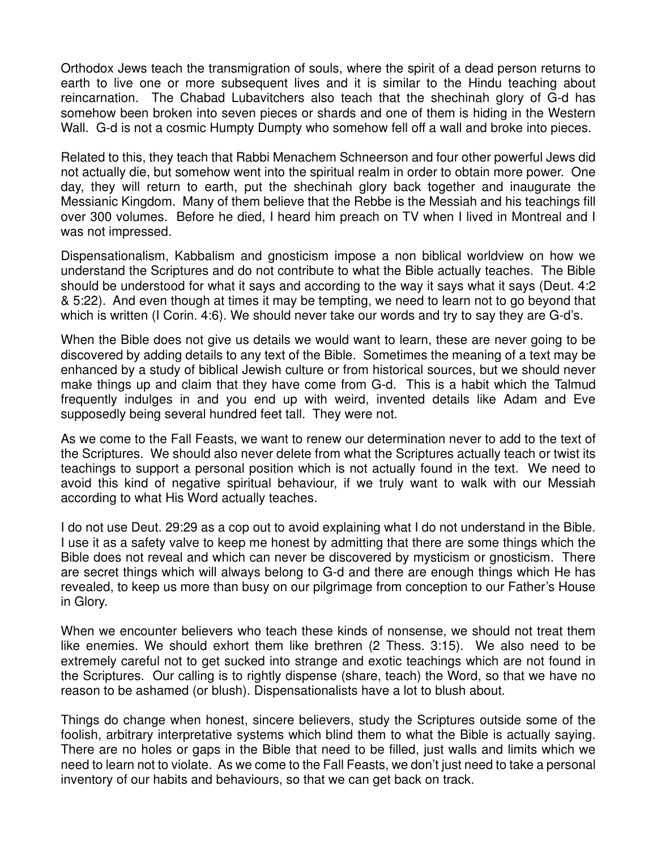Orthodox Jews teach the transmigration of souls, where the spirit of a dead person returns to earth to live one or more subsequent lives and it is similar to the Hindu teaching about reincarnation. The Chabad Lubavitchers also teach that the shechinah glory of G-d has somehow been broken into seven pieces or shards and one of them is hiding in the Western Wall. G-d is not a cosmic Humpty Dumpty who somehow fell off a wall and broke into pieces.

Related to this, they teach that Rabbi Menachem Schneerson and four other powerful Jews did not actually die, but somehow went into the spiritual realm in order to obtain more power. One day, they will return to earth, put the shechinah glory back together and inaugurate the Messianic Kingdom. Many of them believe that the Rebbe is the Messiah and his teachings fill over 300 volumes. Before he died, I heard him preach on TV when I lived in Montreal and I was not impressed.

Dispensationalism, Kabbalism and gnosticism impose a non biblical worldview on how we understand the Scriptures and do not contribute to what the Bible actually teaches. The Bible should be understood for what it says and according to the way it says what it says (Deut. 4:2 & 5:22). And even though at times it may be tempting, we need to learn not to go beyond that which is written (I Corin. 4:6). We should never take our words and try to say they are G-d's.

When the Bible does not give us details we would want to learn, these are never going to be discovered by adding details to any text of the Bible. Sometimes the meaning of a text may be enhanced by a study of biblical Jewish culture or from historical sources, but we should never make things up and claim that they have come from G-d. This is a habit which the Talmud frequently indulges in and you end up with weird, invented details like Adam and Eve supposedly being several hundred feet tall. They were not.

As we come to the Fall Feasts, we want to renew our determination never to add to the text of the Scriptures. We should also never delete from what the Scriptures actually teach or twist its teachings to support a personal position which is not actually found in the text. We need to avoid this kind of negative spiritual behaviour, if we truly want to walk with our Messiah according to what His Word actually teaches.

I do not use Deut. 29:29 as a cop out to avoid explaining what I do not understand in the Bible. I use it as a safety valve to keep me honest by admitting that there are some things which the Bible does not reveal and which can never be discovered by mysticism or gnosticism. There are secret things which will always belong to G-d and there are enough things which He has revealed, to keep us more than busy on our pilgrimage from conception to our Father's House in Glory.

When we encounter believers who teach these kinds of nonsense, we should not treat them like enemies. We should exhort them like brethren (2 Thess. 3:15). We also need to be extremely careful not to get sucked into strange and exotic teachings which are not found in the Scriptures. Our calling is to rightly dispense (share, teach) the Word, so that we have no reason to be ashamed (or blush). Dispensationalists have a lot to blush about.

Things do change when honest, sincere believers, study the Scriptures outside some of the foolish, arbitrary interpretative systems which blind them to what the Bible is actually saying. There are no holes or gaps in the Bible that need to be filled, just walls and limits which we need to learn not to violate. As we come to the Fall Feasts, we don't just need to take a personal inventory of our habits and behaviours, so that we can get back on track.